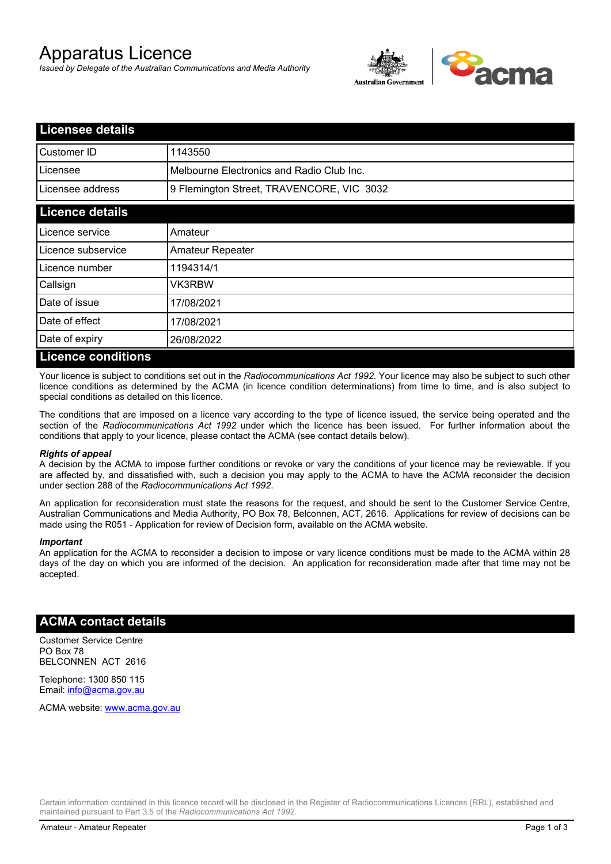# Apparatus Licence

*Issued by Delegate of the Australian Communications and Media Authority*



| <b>Licensee details</b>   |                                           |  |
|---------------------------|-------------------------------------------|--|
| Customer ID               | 1143550                                   |  |
| Licensee                  | Melbourne Electronics and Radio Club Inc. |  |
| Licensee address          | 9 Flemington Street, TRAVENCORE, VIC 3032 |  |
| <b>Licence details</b>    |                                           |  |
| Licence service           | Amateur                                   |  |
| Licence subservice        | Amateur Repeater                          |  |
| Licence number            | 1194314/1                                 |  |
| Callsign                  | VK3RBW                                    |  |
| Date of issue             | 17/08/2021                                |  |
| Date of effect            | 17/08/2021                                |  |
| Date of expiry            | 26/08/2022                                |  |
| <b>Licence conditions</b> |                                           |  |

Your licence is subject to conditions set out in the *Radiocommunications Act 1992*. Your licence may also be subject to such other licence conditions as determined by the ACMA (in licence condition determinations) from time to time, and is also subject to special conditions as detailed on this licence.

The conditions that are imposed on a licence vary according to the type of licence issued, the service being operated and the section of the *Radiocommunications Act 1992* under which the licence has been issued. For further information about the conditions that apply to your licence, please contact the ACMA (see contact details below).

### *Rights of appeal*

A decision by the ACMA to impose further conditions or revoke or vary the conditions of your licence may be reviewable. If you are affected by, and dissatisfied with, such a decision you may apply to the ACMA to have the ACMA reconsider the decision under section 288 of the *Radiocommunications Act 1992*.

An application for reconsideration must state the reasons for the request, and should be sent to the Customer Service Centre, Australian Communications and Media Authority, PO Box 78, Belconnen, ACT, 2616. Applications for review of decisions can be made using the R051 - Application for review of Decision form, available on the ACMA website.

#### *Important*

An application for the ACMA to reconsider a decision to impose or vary licence conditions must be made to the ACMA within 28 days of the day on which you are informed of the decision. An application for reconsideration made after that time may not be accepted.

### **ACMA contact details**

Customer Service Centre PO Box 78 BELCONNEN ACT 2616

Telephone: 1300 850 115 Email: info@acma.gov.au

ACMA website: www.acma.gov.au

Certain information contained in this licence record will be disclosed in the Register of Radiocommunications Licences (RRL), established and maintained pursuant to Part 3.5 of the *Radiocommunications Act 1992.*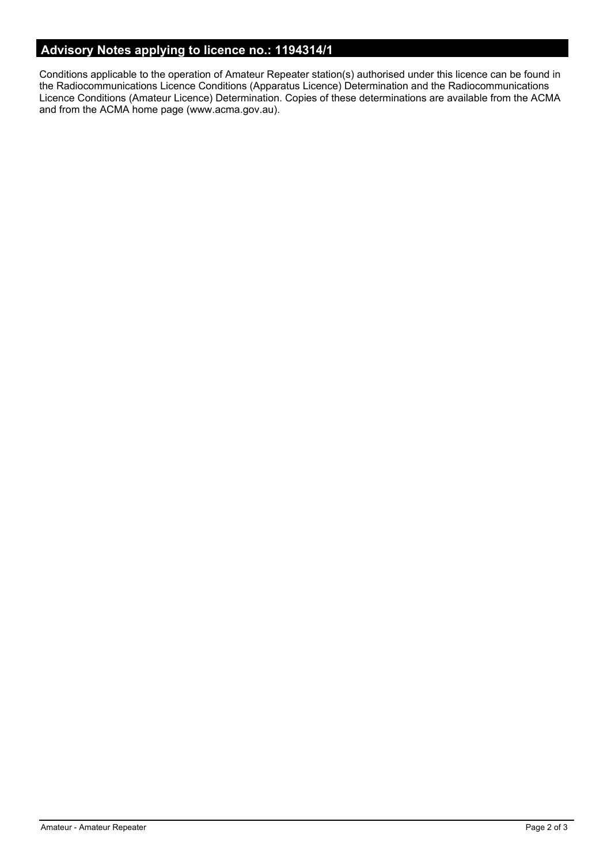# **Advisory Notes applying to licence no.: 1194314/1**

Conditions applicable to the operation of Amateur Repeater station(s) authorised under this licence can be found in the Radiocommunications Licence Conditions (Apparatus Licence) Determination and the Radiocommunications Licence Conditions (Amateur Licence) Determination. Copies of these determinations are available from the ACMA and from the ACMA home page (www.acma.gov.au).